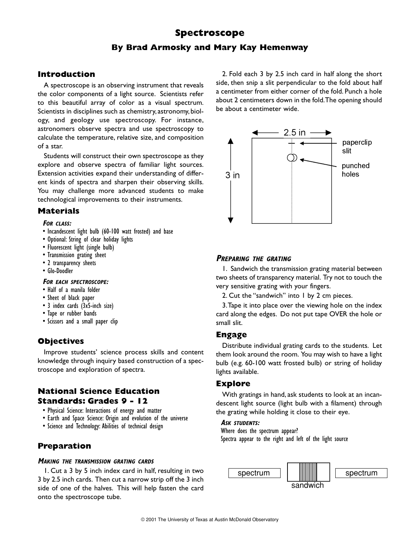# **Spectroscope By Brad Armosky and Mary Kay Hemenway**

# **Introduction**

A spectroscope is an observing instrument that reveals the color components of a light source. Scientists refer to this beautiful array of color as a visual spectrum. Scientists in disciplines such as chemistry, astronomy, biology, and geology use spectroscopy. For instance, astronomers observe spectra and use spectroscopy to calculate the temperature, relative size, and composition of a star.

Students will construct their own spectroscope as they explore and observe spectra of familiar light sources. Extension activities expand their understanding of different kinds of spectra and sharpen their observing skills. You may challenge more advanced students to make technological improvements to their instruments.

### **Materials**

#### **FOR CLASS:**

- Incandescent light bulb (60-100 watt frosted) and base
- Optional: String of clear holiday lights
- Fluorescent light (single bulb)
- Transmission grating sheet
- 2 transparency sheets
- Glo-Doodler

#### **FOR EACH SPECTROSCOPE:**

- Half of a manila folder
- Sheet of black paper
- 3 index cards (3x5-inch size)
- Tape or rubber bands
- Scissors and a small paper clip

# **Objectives**

Improve students' science process skills and content knowledge through inquiry based construction of a spectroscope and exploration of spectra.

### **National Science Education Standards: Grades 9 - 12**

- Physical Science: Interactions of energy and matter
- Earth and Space Science: Origin and evolution of the universe
- Science and Technology: Abilities of technical design

# **Preparation**

#### **MAKING THE TRANSMISSION GRATING CARDS**

1. Cut a 3 by 5 inch index card in half, resulting in two 3 by 2.5 inch cards. Then cut a narrow strip off the 3 inch side of one of the halves. This will help fasten the card onto the spectroscope tube.

2. Fold each 3 by 2.5 inch card in half along the short side, then snip a slit perpendicular to the fold about half a centimeter from either corner of the fold. Punch a hole about 2 centimeters down in the fold.The opening should be about a centimeter wide.



### **PREPARING THE GRATING**

1. Sandwich the transmission grating material between two sheets of transparency material. Try not to touch the very sensitive grating with your fingers.

2. Cut the "sandwich" into 1 by 2 cm pieces.

3.Tape it into place over the viewing hole on the index card along the edges. Do not put tape OVER the hole or small slit.

# **Engage**

Distribute individual grating cards to the students. Let them look around the room. You may wish to have a light bulb (e.g. 60-100 watt frosted bulb) or string of holiday lights available.

# **Explore**

With gratings in hand, ask students to look at an incandescent light source (light bulb with a filament) through the grating while holding it close to their eye.

#### **ASK STUDENTS:**

Where does the spectrum appear? Spectra appear to the right and left of the light source

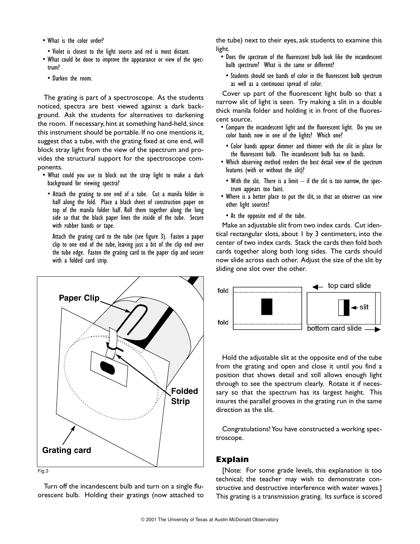- What is the color order?
- Violet is closest to the light source and red is most distant.
- What could be done to improve the appearance or view of the spectrum?
	- Darken the room.

The grating is part of a spectroscope. As the students noticed, spectra are best viewed against a dark background. Ask the students for alternatives to darkening the room. If necessary, hint at something hand-held, since this instrument should be portable. If no one mentions it, suggest that a tube, with the grating fixed at one end, will block stray light from the view of the spectrum and provides the structural support for the spectroscope components.

- What could you use to block out the stray light to make a dark background for viewing spectra?
	- Attach the grating to one end of a tube. Cut a manila folder in half along the fold. Place a black sheet of construction paper on top of the manila folder half. Roll them together along the long side so that the black paper lines the inside of the tube. Secure with rubber bands or tape.

Attach the grating card to the tube (see figure 3). Fasten a paper clip to one end of the tube, leaving just a bit of the clip end over the tube edge. Fasten the grating card to the paper clip and secure with a folded card strip.



Turn off the incandescent bulb and turn on a single fluorescent bulb. Holding their gratings (now attached to the tube) next to their eyes, ask students to examine this light.

- Does the spectrum of the fluorescent bulb look like the incandescent bulb spectrum? What is the same or different?
	- Students should see bands of color in the fluorescent bulb spectrum as well as a continuous spread of color.

Cover up part of the fluorescent light bulb so that a narrow slit of light is seen. Try making a slit in a double thick manila folder and holding it in front of the fluorescent source.

- Compare the incandescent light and the fluorescent light. Do you see color bands now in one of the lights? Which one?
	- Color bands appear dimmer and thinner with the slit in place for the fluorescent bulb. The incandescent bulb has no bands.
- Which observing method renders the best detail view of the spectrum features (with or without the slit)?
	- With the slit. There is a limit if the slit is too narrow, the spectrum appears too faint.
- Where is a better place to put the slit, so that an observer can view other light sources?
- At the opposite end of the tube.

Make an adjustable slit from two index cards. Cut identical rectangular slots, about 1 by 3 centimeters, into the center of two index cards. Stack the cards then fold both cards together along both long sides. The cards should now slide across each other. Adjust the size of the slit by sliding one slot over the other.



Hold the adjustable slit at the opposite end of the tube from the grating and open and close it until you find a position that shows detail and still allows enough light through to see the spectrum clearly. Rotate it if necessary so that the spectrum has its largest height. This insures the parallel grooves in the grating run in the same direction as the slit.

Congratulations! You have constructed a working spectroscope.

#### **Explain**

[Note: For some grade levels, this explanation is too technical; the teacher may wish to demonstrate constructive and destructive interference with water waves.] This grating is a transmission grating. Its surface is scored